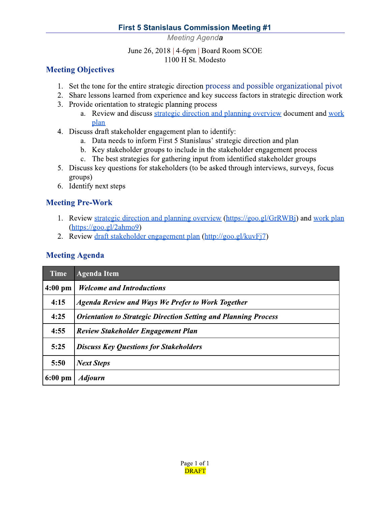#### **First 5 Stanislaus Commission Meeting #1**

Meeting Agenda

June 26, 2018 | 4-6pm | Board Room SCOE 1100 H St. Modesto

## **Meeting Objectives**

- 1. Set the tone for the entire strategic direction process and possible organizational pivot
- 2. Share lessons learned from experience and key success factors in strategic direction work
- 3. Provide orientation to strategic planning process
	- a. Review and discuss strategic direction and planning overview document and work plan
- 4. Discuss draft stakeholder engagement plan to identify:
	- a. Data needs to inform First 5 Stanislaus' strategic direction and plan
	- b. Key stakeholder groups to include in the stakeholder engagement process
	- c. The best strategies for gathering input from identified stakeholder groups
- 5. Discuss key questions for stakeholders (to be asked through interviews, surveys, focus groups)
- 6. Identify next steps

## **Meeting Pre-Work**

- 1. Review strategic direction and planning overview (https://goo.gl/GrRWBi) and work plan  $(https://goo.gl/2ahmo9)$
- 2. Review draft stakeholder engagement plan (http://goo.gl/kuvFj7)

#### **Meeting Agenda**

| <b>Time</b>       | <b>Agenda Item</b>                                                     |
|-------------------|------------------------------------------------------------------------|
| $4:00$ pm         | <b>Welcome and Introductions</b>                                       |
| 4:15              | <b>Agenda Review and Ways We Prefer to Work Together</b>               |
| 4:25              | <b>Orientation to Strategic Direction Setting and Planning Process</b> |
| 4:55              | <b>Review Stakeholder Engagement Plan</b>                              |
| 5:25              | <b>Discuss Key Questions for Stakeholders</b>                          |
| 5:50              | <b>Next Steps</b>                                                      |
| $6:00 \text{ pm}$ | <b>Adjourn</b>                                                         |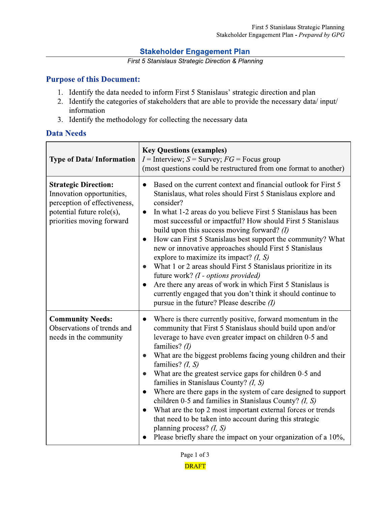#### **Stakeholder Engagement Plan**

First 5 Stanislaus Strategic Direction & Planning

#### **Purpose of this Document:**

- 1. Identify the data needed to inform First 5 Stanislaus' strategic direction and plan
- 2. Identify the categories of stakeholders that are able to provide the necessary data/input/ information
- 3. Identify the methodology for collecting the necessary data

#### **Data Needs**

| <b>Type of Data/Information</b>                                                                                                                    | <b>Key Questions (examples)</b><br>$I =$ Interview; $S =$ Survey; $FG =$ Focus group<br>(most questions could be restructured from one format to another)                                                                                                                                                                                                                                                                                                                                                                                                                                                                                                                                                                                                                                                                                 |
|----------------------------------------------------------------------------------------------------------------------------------------------------|-------------------------------------------------------------------------------------------------------------------------------------------------------------------------------------------------------------------------------------------------------------------------------------------------------------------------------------------------------------------------------------------------------------------------------------------------------------------------------------------------------------------------------------------------------------------------------------------------------------------------------------------------------------------------------------------------------------------------------------------------------------------------------------------------------------------------------------------|
| <b>Strategic Direction:</b><br>Innovation opportunities,<br>perception of effectiveness,<br>potential future role(s),<br>priorities moving forward | Based on the current context and financial outlook for First 5<br>Stanislaus, what roles should First 5 Stanislaus explore and<br>consider?<br>In what 1-2 areas do you believe First 5 Stanislaus has been<br>$\bullet$<br>most successful or impactful? How should First 5 Stanislaus<br>build upon this success moving forward? $(I)$<br>How can First 5 Stanislaus best support the community? What<br>$\bullet$<br>new or innovative approaches should First 5 Stanislaus<br>explore to maximize its impact? $(I, S)$<br>What 1 or 2 areas should First 5 Stanislaus prioritize in its<br>$\bullet$<br>future work? (I - options provided)<br>Are there any areas of work in which First 5 Stanislaus is<br>$\bullet$<br>currently engaged that you don't think it should continue to<br>pursue in the future? Please describe $(I)$ |
| <b>Community Needs:</b><br>Observations of trends and<br>needs in the community                                                                    | Where is there currently positive, forward momentum in the<br>$\bullet$<br>community that First 5 Stanislaus should build upon and/or<br>leverage to have even greater impact on children 0-5 and<br>families? $(l)$<br>What are the biggest problems facing young children and their<br>$\bullet$<br>families? $(I, S)$<br>What are the greatest service gaps for children 0-5 and<br>$\bullet$<br>families in Stanislaus County? (I, S)<br>Where are there gaps in the system of care designed to support<br>$\bullet$<br>children 0-5 and families in Stanislaus County? $(I, S)$<br>What are the top 2 most important external forces or trends<br>$\bullet$<br>that need to be taken into account during this strategic<br>planning process? $(I, S)$<br>Please briefly share the impact on your organization of a 10%,              |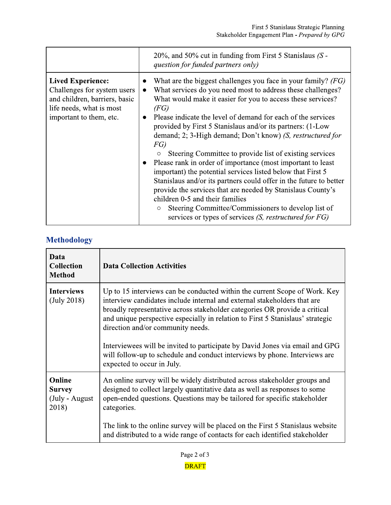|                                                                                                                                                 | $20\%$ , and 50% cut in funding from First 5 Stanislaus (S -<br>question for funded partners only)                                                                                                                                                                                                                                                                                                                                                                                                                                                                                                                                                                                                                                                                                                                                                                                                                                                          |
|-------------------------------------------------------------------------------------------------------------------------------------------------|-------------------------------------------------------------------------------------------------------------------------------------------------------------------------------------------------------------------------------------------------------------------------------------------------------------------------------------------------------------------------------------------------------------------------------------------------------------------------------------------------------------------------------------------------------------------------------------------------------------------------------------------------------------------------------------------------------------------------------------------------------------------------------------------------------------------------------------------------------------------------------------------------------------------------------------------------------------|
| <b>Lived Experience:</b><br>Challenges for system users<br>and children, barriers, basic<br>life needs, what is most<br>important to them, etc. | What are the biggest challenges you face in your family? $(FG)$<br>What services do you need most to address these challenges?<br>$\bullet$<br>What would make it easier for you to access these services?<br>(FG)<br>Please indicate the level of demand for each of the services<br>$\bullet$<br>provided by First 5 Stanislaus and/or its partners: (1-Low<br>demand; 2; 3-High demand; Don't know) (S, restructured for<br>FG)<br>Steering Committee to provide list of existing services<br>$\bigcirc$<br>Please rank in order of importance (most important to least)<br>$\bullet$<br>important) the potential services listed below that First 5<br>Stanislaus and/or its partners could offer in the future to better<br>provide the services that are needed by Stanislaus County's<br>children 0-5 and their families<br>Steering Committee/Commissioners to develop list of<br>$\circ$<br>services or types of services (S, restructured for FG) |

# **Methodology**

| Data<br><b>Collection</b><br><b>Method</b>          | <b>Data Collection Activities</b>                                                                                                                                                                                                                                                                                                                                                                                                                                                                                                                       |
|-----------------------------------------------------|---------------------------------------------------------------------------------------------------------------------------------------------------------------------------------------------------------------------------------------------------------------------------------------------------------------------------------------------------------------------------------------------------------------------------------------------------------------------------------------------------------------------------------------------------------|
| <b>Interviews</b><br>(July 2018)                    | Up to 15 interviews can be conducted within the current Scope of Work. Key<br>interview candidates include internal and external stakeholders that are<br>broadly representative across stakeholder categories OR provide a critical<br>and unique perspective especially in relation to First 5 Stanislaus' strategic<br>direction and/or community needs.<br>Interviewees will be invited to participate by David Jones via email and GPG<br>will follow-up to schedule and conduct interviews by phone. Interviews are<br>expected to occur in July. |
| Online<br><b>Survey</b><br>(July - August)<br>2018) | An online survey will be widely distributed across stakeholder groups and<br>designed to collect largely quantitative data as well as responses to some<br>open-ended questions. Questions may be tailored for specific stakeholder<br>categories.<br>The link to the online survey will be placed on the First 5 Stanislaus website<br>and distributed to a wide range of contacts for each identified stakeholder                                                                                                                                     |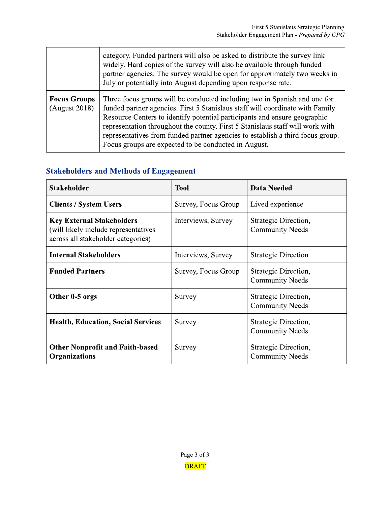|                                      | category. Funded partners will also be asked to distribute the survey link<br>widely. Hard copies of the survey will also be available through funded<br>partner agencies. The survey would be open for approximately two weeks in<br>July or potentially into August depending upon response rate.                                                                                                                                                                |
|--------------------------------------|--------------------------------------------------------------------------------------------------------------------------------------------------------------------------------------------------------------------------------------------------------------------------------------------------------------------------------------------------------------------------------------------------------------------------------------------------------------------|
| <b>Focus Groups</b><br>(August 2018) | Three focus groups will be conducted including two in Spanish and one for<br>funded partner agencies. First 5 Stanislaus staff will coordinate with Family<br>Resource Centers to identify potential participants and ensure geographic<br>representation throughout the county. First 5 Stanislaus staff will work with<br>representatives from funded partner agencies to establish a third focus group.<br>Focus groups are expected to be conducted in August. |

## **Stakeholders and Methods of Engagement**

| <b>Stakeholder</b>                                                                                              | <b>Tool</b>         | Data Needed                                    |
|-----------------------------------------------------------------------------------------------------------------|---------------------|------------------------------------------------|
| <b>Clients / System Users</b>                                                                                   | Survey, Focus Group | Lived experience                               |
| <b>Key External Stakeholders</b><br>(will likely include representatives)<br>across all stakeholder categories) | Interviews, Survey  | Strategic Direction,<br><b>Community Needs</b> |
| <b>Internal Stakeholders</b>                                                                                    | Interviews, Survey  | <b>Strategic Direction</b>                     |
| <b>Funded Partners</b>                                                                                          | Survey, Focus Group | Strategic Direction,<br><b>Community Needs</b> |
| Other 0-5 orgs                                                                                                  | Survey              | Strategic Direction,<br><b>Community Needs</b> |
| <b>Health, Education, Social Services</b>                                                                       | Survey              | Strategic Direction,<br><b>Community Needs</b> |
| <b>Other Nonprofit and Faith-based</b><br><b>Organizations</b>                                                  | Survey              | Strategic Direction,<br><b>Community Needs</b> |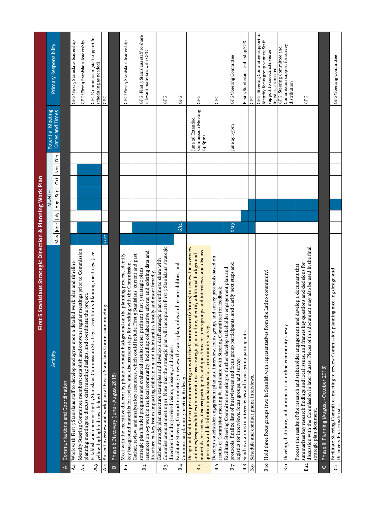|                | 5 Stanislaus Strategic Direction & Planning Work Plan<br>First                                                                                                                                                                                                                                                                                                                                                |               |                      |                                                            |                                                                                                                                  |
|----------------|---------------------------------------------------------------------------------------------------------------------------------------------------------------------------------------------------------------------------------------------------------------------------------------------------------------------------------------------------------------------------------------------------------------|---------------|----------------------|------------------------------------------------------------|----------------------------------------------------------------------------------------------------------------------------------|
|                |                                                                                                                                                                                                                                                                                                                                                                                                               |               | <b>MONTH</b>         | Potential Meeting                                          |                                                                                                                                  |
|                | Activity                                                                                                                                                                                                                                                                                                                                                                                                      | May June July | Aug Sept Oct Nov Dec | Dates and Times                                            | Primary Responsibility                                                                                                           |
| $\prec$        | Communications and Coordination                                                                                                                                                                                                                                                                                                                                                                               |               |                      |                                                            |                                                                                                                                  |
| $\overline{A}$ | Work with First 5 Stanislaus staff to develop and agree upon a detailed work plan and timeline.                                                                                                                                                                                                                                                                                                               |               |                      |                                                            | GPG/First 5 Stanislaus leadership                                                                                                |
| A.2            | Identify Steering Committee members; establish and convene regular meetings prior to Commission<br>planning meetings to discuss draft meeting designs, and coordinate the project.                                                                                                                                                                                                                            |               |                      |                                                            | GPG/First 5 Stanislaus leadership                                                                                                |
| A.3            | Establish and convene First 5 Stanislaus Commission Strategic Direction & Planning meetings. (see<br>yellow-highlighted rows below)                                                                                                                                                                                                                                                                           |               |                      |                                                            | GPG/Commission (staff support for<br>scheduling as needed)                                                                       |
| AA             | Present overview and work plan at First 5 Stanislaus Commission meeting.                                                                                                                                                                                                                                                                                                                                      | 5/22          |                      |                                                            | GPG                                                                                                                              |
| $\bf{m}$       | Phase I: Discovery (June - August 2018)                                                                                                                                                                                                                                                                                                                                                                       |               |                      |                                                            |                                                                                                                                  |
| $B_{.1}$       | Meet with the executive director by phone to obtain background on the planning process, identify<br>key background materials for review, and discuss next steps for working with the Commission.                                                                                                                                                                                                              |               |                      |                                                            | GPG/First 5 Stanislaus leadership                                                                                                |
| B.2            | resources on 0-5 work in the local community, including collaborative efforts; and existing data and<br>Gather, review, and analyze key resources, which could include First 5 Stanislaus' current and past<br>strategic plan funded programs and evaluated results; other pertinent First 5 strategic plans;<br>literature on key issues impacting children 0-5 and their families locally and more broadly. |               |                      |                                                            | GPG; First 5 Stanislaus staff to share<br>relevant materials with GPG                                                            |
| B.3            | Commissioners at meeting #1. Note that the strategic plan will incorporate First 5 Stanislaus' strategic<br>Gather strategic plan structure examples and develop a draft strategic plan outline to share with<br>direction including revised vision, mission, and values.                                                                                                                                     |               |                      |                                                            | GPG                                                                                                                              |
| B.4            | Facilitate Steering Committee meeting to review the work plan, roles and responsibilities, and<br>Commission planning meeting #1 design.                                                                                                                                                                                                                                                                      | 6/12          |                      |                                                            | GPG                                                                                                                              |
| B.5            | (2 hours) to review the overview<br>materials for review, discuss participants and questions for focus groups and interviews, and discuss<br>identify additional background<br>Design and facilitate in-person meeting #1 with the Commission<br>and roles/responsibilities document, discuss strategic plan outline,<br>questions and distribution mechanisms for a community survey.                        |               |                      | <b>Commission Meeting</b><br>June 26 Extended<br>$(4-6pm)$ | GPG                                                                                                                              |
| B.6            | Develop stakeholder engagement plan and interview, focus group, and survey protocols based on<br>results of Commision meeting #1, and share with Steering Committee for feedback.                                                                                                                                                                                                                             |               |                      |                                                            | GPG                                                                                                                              |
| $\mathbf{B}.7$ | and clarify next steps and<br>Facilitate Steering Committee meeting to further develop stakeholder engagement plan and<br>protocols, finalize lists of interviewees and focus group participants,<br>logistics for interviews, focus groups, and survey.                                                                                                                                                      | 6/29          |                      | June 29 1-3pm                                              | GPG/Steering Committee                                                                                                           |
| B.8            | Send invitations to interviewees and focus group participants.                                                                                                                                                                                                                                                                                                                                                |               |                      |                                                            | First 5 Stanlislaus leadership/GPG                                                                                               |
| B.9            | Schedule and conduct phone interviews.                                                                                                                                                                                                                                                                                                                                                                        |               |                      |                                                            | GPG                                                                                                                              |
| $B_{.10}$      | Hold three focus groups (two in Spanish with representatives from the Latino community).                                                                                                                                                                                                                                                                                                                      |               |                      |                                                            | GPG; Steering Committee support to<br>identify focus group venues; Staff<br>support to coordinate venue<br>logistics, as needed. |
| $\Xi$          | Develop, distribute, and administer an online community survey.                                                                                                                                                                                                                                                                                                                                               |               |                      |                                                            | Commission support for survey<br>GPG; Steering Committee and<br>distribution                                                     |
| $B_{.12}$      | discussion with the Commission in later phases. Pieces of this document may also be used in the final<br>summarizes key research findings and local issues, and frames key questions and decisions for<br>develop a document that<br>Process the results of the research and stakeholder engagement and<br>strategic plan document.                                                                           |               |                      |                                                            | GPG                                                                                                                              |
| $\cup$         | Phase II: Planning (August - October 2018)                                                                                                                                                                                                                                                                                                                                                                    |               |                      |                                                            |                                                                                                                                  |
| J              | Facilitate Steering Committee meeting to review Commission planning meeting design and<br>Discovery Phase materials.                                                                                                                                                                                                                                                                                          |               |                      |                                                            | GPG/Steering Committee                                                                                                           |